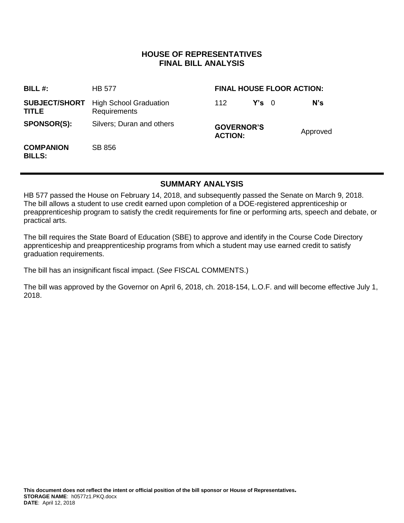### **HOUSE OF REPRESENTATIVES FINAL BILL ANALYSIS**

| BILL $#$ :                           | <b>HB 577</b>                                 | <b>FINAL HOUSE FLOOR ACTION:</b>    |               |  |          |
|--------------------------------------|-----------------------------------------------|-------------------------------------|---------------|--|----------|
| <b>SUBJECT/SHORT</b><br><b>TITLE</b> | <b>High School Graduation</b><br>Requirements | 112                                 | $Y's \quad 0$ |  | N's      |
| <b>SPONSOR(S):</b>                   | Silvers; Duran and others                     | <b>GOVERNOR'S</b><br><b>ACTION:</b> |               |  | Approved |
| <b>COMPANION</b><br><b>BILLS:</b>    | SB 856                                        |                                     |               |  |          |

## **SUMMARY ANALYSIS**

HB 577 passed the House on February 14, 2018, and subsequently passed the Senate on March 9, 2018. The bill allows a student to use credit earned upon completion of a DOE-registered apprenticeship or preapprenticeship program to satisfy the credit requirements for fine or performing arts, speech and debate, or practical arts.

The bill requires the State Board of Education (SBE) to approve and identify in the Course Code Directory apprenticeship and preapprenticeship programs from which a student may use earned credit to satisfy graduation requirements.

The bill has an insignificant fiscal impact. (*See* FISCAL COMMENTS.)

The bill was approved by the Governor on April 6, 2018, ch. 2018-154, L.O.F. and will become effective July 1, 2018.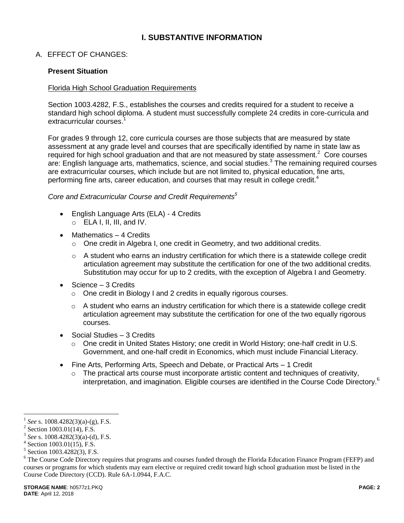# **I. SUBSTANTIVE INFORMATION**

A. EFFECT OF CHANGES:

#### **Present Situation**

#### Florida High School Graduation Requirements

Section 1003.4282, F.S., establishes the courses and credits required for a student to receive a standard high school diploma. A student must successfully complete 24 credits in core-curricula and extracurricular courses.<sup>1</sup>

For grades 9 through 12, core curricula courses are those subjects that are measured by state assessment at any grade level and courses that are specifically identified by name in state law as required for high school graduation and that are not measured by state assessment.<sup>2</sup> Core courses are: English language arts, mathematics, science, and social studies. $3$  The remaining required courses are extracurricular courses, which include but are not limited to, physical education, fine arts, performing fine arts, career education, and courses that may result in college credit.<sup>4</sup>

#### *Core and Extracurricular Course and Credit Requirements<sup>5</sup>*

- English Language Arts (ELA) 4 Credits
	- $\circ$  ELA I, II, III, and IV.
- Mathematics 4 Credits
	- o One credit in Algebra I, one credit in Geometry, and two additional credits.
	- $\circ$  A student who earns an industry certification for which there is a statewide college credit articulation agreement may substitute the certification for one of the two additional credits. Substitution may occur for up to 2 credits, with the exception of Algebra I and Geometry.
- Science 3 Credits
	- o One credit in Biology I and 2 credits in equally rigorous courses.
	- $\circ$  A student who earns an industry certification for which there is a statewide college credit articulation agreement may substitute the certification for one of the two equally rigorous courses.
- Social Studies 3 Credits
	- o One credit in United States History; one credit in World History; one-half credit in U.S. Government, and one-half credit in Economics, which must include Financial Literacy.
- Fine Arts, Performing Arts, Speech and Debate, or Practical Arts 1 Credit
	- The practical arts course must incorporate artistic content and techniques of creativity, interpretation, and imagination. Eligible courses are identified in the Course Code Directory.<sup>6</sup>

<sup>1</sup> *See* s. 1008.4282(3)(a)-(g), F.S.

 $2$  Section 1003.01(14), F.S.

<sup>3</sup> *See* s. 1008.4282(3)(a)-(d), F.S.

<sup>4</sup> Section 1003.01(15), F.S.

<sup>5</sup> Section 1003.4282(3), F.S.

<sup>&</sup>lt;sup>6</sup> The Course Code Directory requires that programs and courses funded through the Florida Education Finance Program (FEFP) and courses or programs for which students may earn elective or required credit toward high school graduation must be listed in the Course Code Directory (CCD). Rule 6A-1.0944, F.A.C.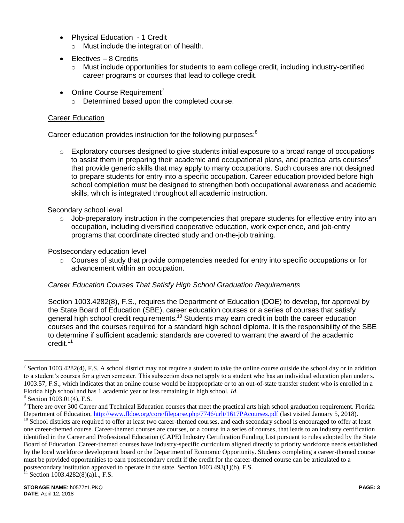- Physical Education 1 Credit
	- o Must include the integration of health.
- Electives 8 Credits
	- $\circ$  Must include opportunities for students to earn college credit, including industry-certified career programs or courses that lead to college credit.
- Online Course Requirement<sup>7</sup>
	- o Determined based upon the completed course.

### Career Education

Career education provides instruction for the following purposes:<sup>8</sup>

 $\circ$  Exploratory courses designed to give students initial exposure to a broad range of occupations to assist them in preparing their academic and occupational plans, and practical arts courses $9$ that provide generic skills that may apply to many occupations. Such courses are not designed to prepare students for entry into a specific occupation. Career education provided before high school completion must be designed to strengthen both occupational awareness and academic skills, which is integrated throughout all academic instruction.

#### Secondary school level

 $\circ$  Job-preparatory instruction in the competencies that prepare students for effective entry into an occupation, including diversified cooperative education, work experience, and job-entry programs that coordinate directed study and on-the-job training.

#### Postsecondary education level

 $\circ$  Courses of study that provide competencies needed for entry into specific occupations or for advancement within an occupation.

#### *Career Education Courses That Satisfy High School Graduation Requirements*

Section 1003.4282(8), F.S., requires the Department of Education (DOE) to develop, for approval by the State Board of Education (SBE), career education courses or a series of courses that satisfy general high school credit requirements.<sup>10</sup> Students may earn credit in both the career education courses and the courses required for a standard high school diploma. It is the responsibility of the SBE to determine if sufficient academic standards are covered to warrant the award of the academic credit.<sup>11</sup>

<sup>&</sup>lt;sup>7</sup> Section 1003.4282(4), F.S. A school district may not require a student to take the online course outside the school day or in addition to a student's courses for a given semester. This subsection does not apply to a student who has an individual education plan under s. 1003.57, F.S., which indicates that an online course would be inappropriate or to an out-of-state transfer student who is enrolled in a Florida high school and has 1 academic year or less remaining in high school. *Id*.

<sup>8</sup> Section 1003.01(4), F.S.

 $9$  There are over 300 Career and Technical Education courses that meet the practical arts high school graduation requirement. Florida Department of Education,<http://www.fldoe.org/core/fileparse.php/7746/urlt/1617PAcourses.pdf> (last visited January 5, 2018).

<sup>&</sup>lt;sup>10</sup> School districts are required to offer at least two career-themed courses, and each secondary school is encouraged to offer at least one career-themed course. Career-themed courses are courses, or a course in a series of courses, that leads to an industry certification identified in the Career and Professional Education (CAPE) Industry Certification Funding List pursuant to rules adopted by the State Board of Education. Career-themed courses have industry-specific curriculum aligned directly to priority workforce needs established by the local workforce development board or the Department of Economic Opportunity. Students completing a career-themed course must be provided opportunities to earn postsecondary credit if the credit for the career-themed course can be articulated to a postsecondary institution approved to operate in the state. Section  $1003.493(1)(b)$ , F.S.

Section 1003.4282(8)(a)1., F.S.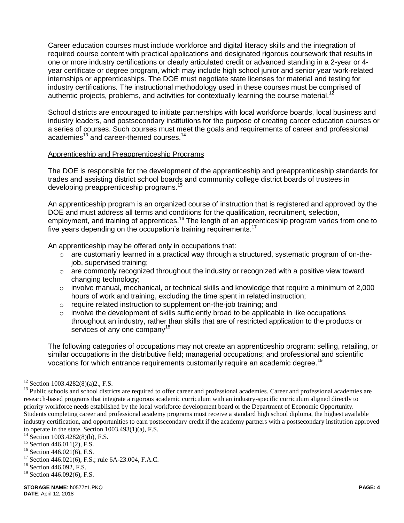Career education courses must include workforce and digital literacy skills and the integration of required course content with practical applications and designated rigorous coursework that results in one or more industry certifications or clearly articulated credit or advanced standing in a 2-year or 4 year certificate or degree program, which may include high school junior and senior year work-related internships or apprenticeships. The DOE must negotiate state licenses for material and testing for industry certifications. The instructional methodology used in these courses must be comprised of authentic projects, problems, and activities for contextually learning the course material.<sup>12</sup>

School districts are encouraged to initiate partnerships with local workforce boards, local business and industry leaders, and postsecondary institutions for the purpose of creating career education courses or a series of courses. Such courses must meet the goals and requirements of career and professional academies<sup>13</sup> and career-themed courses.<sup>14</sup>

#### Apprenticeship and Preapprenticeship Programs

The DOE is responsible for the development of the apprenticeship and preapprenticeship standards for trades and assisting district school boards and community college district boards of trustees in developing preapprenticeship programs.<sup>15</sup>

An apprenticeship program is an organized course of instruction that is registered and approved by the DOE and must address all terms and conditions for the qualification, recruitment, selection, employment, and training of apprentices.<sup>16</sup> The length of an apprenticeship program varies from one to five years depending on the occupation's training requirements.<sup>17</sup>

An apprenticeship may be offered only in occupations that:

- o are customarily learned in a practical way through a structured, systematic program of on-thejob, supervised training;
- $\circ$  are commonly recognized throughout the industry or recognized with a positive view toward changing technology;
- $\circ$  involve manual, mechanical, or technical skills and knowledge that require a minimum of 2,000 hours of work and training, excluding the time spent in related instruction;
- o require related instruction to supplement on-the-job training; and
- o involve the development of skills sufficiently broad to be applicable in like occupations throughout an industry, rather than skills that are of restricted application to the products or services of any one company<sup>18</sup>

The following categories of occupations may not create an apprenticeship program: selling, retailing, or similar occupations in the distributive field; managerial occupations; and professional and scientific vocations for which entrance requirements customarily require an academic degree.<sup>19</sup>

 $12$  Section 1003.4282(8)(a)2., F.S.

<sup>&</sup>lt;sup>13</sup> Public schools and school districts are required to offer career and professional academies. Career and professional academies are research-based programs that integrate a rigorous academic curriculum with an industry-specific curriculum aligned directly to priority workforce needs established by the local workforce development board or the Department of Economic Opportunity. Students completing career and professional academy programs must receive a standard high school diploma, the highest available industry certification, and opportunities to earn postsecondary credit if the academy partners with a postsecondary institution approved to operate in the state. Section  $1003.493(1)(a)$ , F.S.

 $14$  Section 1003.4282(8)(b), F.S.

 $15$  Section 446.011(2), F.S.

 $16$  Section 446.021(6), F.S.

 $17$  Section 446.021(6), F.S.; rule 6A-23.004, F.A.C.

<sup>&</sup>lt;sup>18</sup> Section 446.092, F.S.

 $19$  Section 446.092(6), F.S.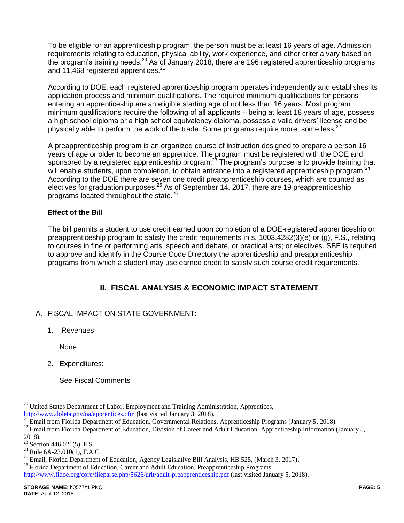To be eligible for an apprenticeship program, the person must be at least 16 years of age. Admission requirements relating to education, physical ability, work experience, and other criteria vary based on the program's training needs.<sup>20</sup> As of January 2018, there are 196 registered apprenticeship programs and 11,468 registered apprentices.<sup>21</sup>

According to DOE, each registered apprenticeship program operates independently and establishes its application process and minimum qualifications. The required minimum qualifications for persons entering an apprenticeship are an eligible starting age of not less than 16 years. Most program minimum qualifications require the following of all applicants – being at least 18 years of age, possess a high school diploma or a high school equivalency diploma, possess a valid drivers' license and be physically able to perform the work of the trade. Some programs require more, some less.<sup>22</sup>

A preapprenticeship program is an organized course of instruction designed to prepare a person 16 years of age or older to become an apprentice. The program must be registered with the DOE and sponsored by a registered apprenticeship program.<sup>23</sup> The program's purpose is to provide training that will enable students, upon completion, to obtain entrance into a registered apprenticeship program.<sup>24</sup> According to the DOE there are seven one credit preapprenticeship courses, which are counted as electives for graduation purposes.<sup>25</sup> As of September 14, 2017, there are 19 preapprenticeship programs located throughout the state.<sup>26</sup>

### **Effect of the Bill**

The bill permits a student to use credit earned upon completion of a DOE-registered apprenticeship or preapprenticeship program to satisfy the credit requirements in s. 1003.4282(3)(e) or (g), F.S., relating to courses in fine or performing arts, speech and debate, or practical arts; or electives. SBE is required to approve and identify in the Course Code Directory the apprenticeship and preapprenticeship programs from which a student may use earned credit to satisfy such course credit requirements.

# **II. FISCAL ANALYSIS & ECONOMIC IMPACT STATEMENT**

- A. FISCAL IMPACT ON STATE GOVERNMENT:
	- 1. Revenues:

None

2. Expenditures:

See Fiscal Comments

 $\overline{a}$ 

<sup>26</sup> Florida Department of Education, Career and Adult Education, Preapprenticeship Programs,

<sup>&</sup>lt;sup>20</sup> United States Department of Labor, Employment and Training Administration, Apprentices, <http://www.doleta.gov/oa/apprentices.cfm> (last visited January 3, 2018).

 $\frac{21}{21}$  Email from Florida Department of Education, Governmental Relations, Apprenticeship Programs (January 5, 2018).

<sup>&</sup>lt;sup>22</sup> Email from Florida Department of Education, Division of Career and Adult Education, Apprenticeship Information (January 5,

 $^{2018)}_{23}$ 

Section 446.021(5), F.S.

 $^{24}$  Rule 6A-23.010(1), F.A.C.

<sup>&</sup>lt;sup>25</sup> Email, Florida Department of Education, Agency Legislative Bill Analysis, HB 525, (March 3, 2017).

<http://www.fldoe.org/core/fileparse.php/5626/urlt/adult-preapprenticeship.pdf> (last visited January 5, 2018).